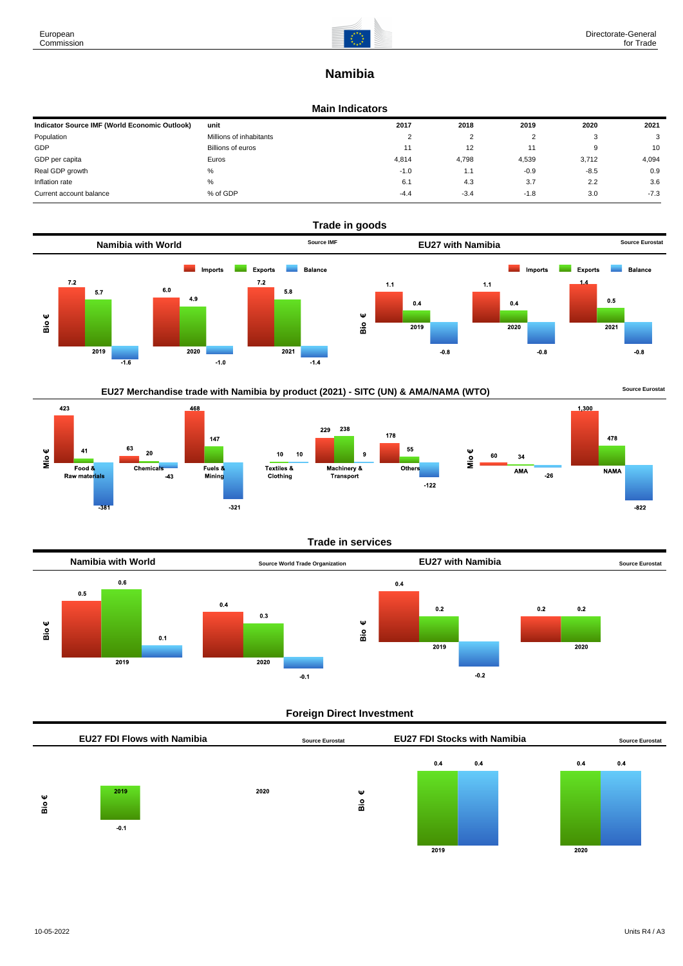

# **Namibia**

#### **Main Indicators**

| Indicator Source IMF (World Economic Outlook) | unit                    | 2017   | 2018   | 2019   | 2020   | 2021   |
|-----------------------------------------------|-------------------------|--------|--------|--------|--------|--------|
| Population                                    | Millions of inhabitants |        | ົ      |        |        | 3      |
| GDP                                           | Billions of euros       | 11     | 12     |        |        | 10     |
| GDP per capita                                | Euros                   | 4.814  | 4,798  | 4,539  | 3,712  | 4,094  |
| Real GDP growth                               | %                       | $-1.0$ | . .    | $-0.9$ | $-8.5$ | 0.9    |
| Inflation rate                                | $\%$                    | 6.1    | 4.3    | 3.7    | 2.2    | 3.6    |
| Current account balance                       | % of GDP                | $-4.4$ | $-3.4$ | $-1.8$ | 3.0    | $-7.3$ |



## EU27 Merchandise trade with Namibia by product (2021) - SITC (UN) & AMA/NAMA (WTO) **Source Eurostat**









#### **Trade in services**



### **Foreign Direct Investment**